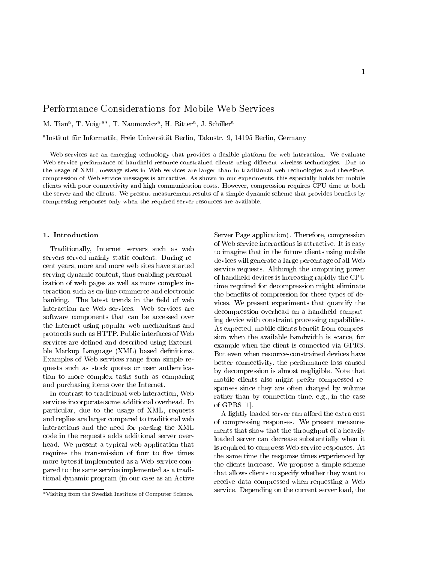# Performance Considerations for Mobile Web Services

M. Tian<sup>a</sup>, T. Voigt<sup>a\*</sup>, T. Naumowicz<sup>a</sup>, H. Ritter<sup>a</sup>, J. Schiller<sup>a</sup>

<sup>a</sup>Institut für Informatik, Freie Universität Berlin, Takustr. 9, 14195 Berlin, Germany

Web services are an emerging technology that provides a flexible platform for web interaction. We evaluate Web service performance of handheld resource-constrained clients using different wireless technologies. Due to the usage of XML, message sizes in Web services are larger than in traditional web technologies and therefore, compression of Web service messages is attractive. As shown in our experiments, this especially holds for mobile clients with poor connectivity and high communication costs. However, compression requires CPU time at both the server and the clients. We present measurement results of a simple dynamic scheme that provides benefits by compressing responses only when the required server resources are available.

## 1. Introduction

Traditionally, Internet servers such as web servers served mainly static content. During recent years, more and more web sites have started serving dynamic content, thus enabling personalization of web pages as well as more complex interaction such as on-line commerce and electronic banking. The latest trends in the field of web interaction are Web services. Web services are software components that can be accessed over the Internet using popular web mechanisms and protocols such as HTTP. Public interfaces of Web services are defined and described using Extensible Markup Language (XML) based definitions. Examples of Web services range from simple requests such as stock quotes or user authentication to more complex tasks such as comparing and purchasing items over the Internet.

In contrast to traditional web interaction, Web services incorporate some additional overhead. In particular, due to the usage of XML, requests and replies are larger compared to traditional web interactions and the need for parsing the XML code in the requests adds additional server overhead. We present a typical web application that requires the transmission of four to five times more bytes if implemented as a Web service compared to the same service implemented as a traditional dynamic program (in our case as an Active

Server Page application). Therefore, compression of Web service interactions is attractive. It is easy to imagine that in the future clients using mobile devices will generate a large percentage of all Web service requests. Although the computing power of handheld devices is increasing rapidly the CPU time required for decompression might eliminate the benefits of compression for these types of devices. We present experiments that quantify the decompression overhead on a handheld computing device with constraint processing capabilities. As expected, mobile clients benefit from compression when the available bandwidth is scarce, for example when the client is connected via GPRS. But even when resource-constrained devices have better connectivity, the performance loss caused by decompression is almost negligible. Note that mobile clients also might prefer compressed responses since they are often charged by volume rather than by connection time, e.g., in the case of GPRS  $[1]$ .

A lightly loaded server can afford the extra cost of compressing responses. We present measurements that show that the throughput of a heavily loaded server can decrease substantially when it is required to compress Web service responses. At the same time the response times experienced by the clients increase. We propose a simple scheme that allows clients to specify whether they want to receive data compressed when requesting a Web service. Depending on the current server load, the

<sup>\*</sup>Visiting from the Swedish Institute of Computer Science.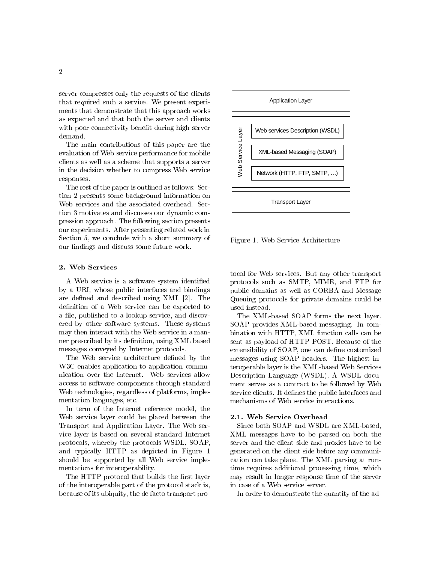server compresses only the requests of the clients that required such a service. We present experiments that demonstrate that this approach works as expected and that both the server and clients with poor connectivity benefit during high server demand.

The main contributions of this paper are the evaluation of Web service performance for mobile clients as well as a scheme that supports a server in the decision whether to compress Web service responses.

The rest of the paper is outlined as follows: Section 2 presents some background information on Web services and the associated overhead. Section 3 motivates and discusses our dynamic compression approach. The following section presents our experiments. After presenting related work in Section 5, we conclude with a short summary of our findings and discuss some future work.

# 2. Web Services

A Web service is a software system identified by a URI, whose public interfaces and bindings are defined and described using XML [2]. The definition of a Web service can be exported to a file, published to a lookup service, and discovered by other software systems. These systems may then interact with the Web service in a manner prescribed by its definition, using XML based messages conveyed by Internet protocols.

The Web service architecture defined by the W3C enables application to application communication over the Internet. Web services allow access to software components through standard Web technologies, regardless of platforms, implementation languages, etc.

In term of the Internet reference model, the Web service layer could be placed between the Transport and Application Layer. The Web service layer is based on several standard Internet protocols, whereby the protocols WSDL, SOAP, and typically HTTP as depicted in Figure 1 should be supported by all Web service implementations for interoperability.

The HTTP protocol that builds the first layer of the interoperable part of the protocol stack is, because of its ubiquity, the de facto transport pro-



Figure 1. Web Service Architecture

tocol for Web services. But any other transport protocols such as SMTP, MIME, and FTP for public domains as well as CORBA and Message Queuing protocols for private domains could be used instead.

The XML-based SOAP forms the next layer. SOAP provides XML-based messaging. In combination with HTTP, XML function calls can be sent as payload of HTTP POST. Because of the extensibility of SOAP, one can define customized messages using SOAP headers. The highest interoperable layer is the XML-based Web Services Description Language (WSDL). A WSDL document serves as a contract to be followed by Web service clients. It defines the public interfaces and mechanisms of Web service interactions.

## 2.1. Web Service Overhead

Since both SOAP and WSDL are XML-based, XML messages have to be parsed on both the server and the client side and proxies have to be generated on the client side before any communication can take place. The XML parsing at runtime requires additional processing time, which may result in longer response time of the server in case of a Web service server.

In order to demonstrate the quantity of the ad-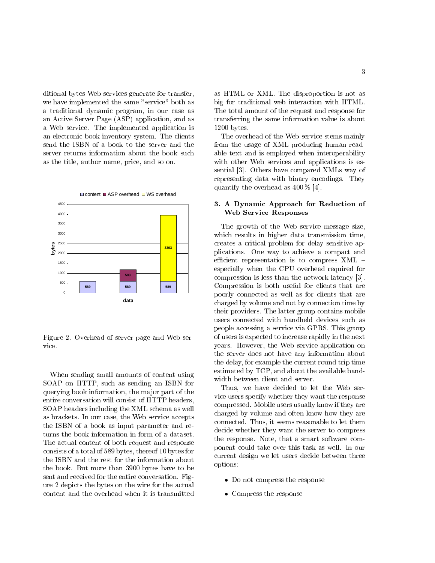ditional bytes Web services generate for transfer, we have implemented the same "service" both as a traditional dynamic program, in our case as an Active Server Page (ASP) application, and as a Web service. The implemented application is an electronic book inventory system. The clients send the ISBN of a book to the server and the server returns information about the book such as the title, author name, price, and so on.



 $\Box$  content  $\Box$  ASP overhead  $\Box$  WS overhead

Figure 2. Overhead of server page and Web service.

When sending small amounts of content using SOAP on HTTP, such as sending an ISBN for querying book information, the major part of the entire conversation will consist of HTTP headers, SOAP headers including the XML schema as well as brackets. In our case, the Web service accepts the ISBN of a book as input parameter and returns the book information in form of a dataset. The actual content of both request and response consists of a total of 589 bytes, thereof 10 bytes for the ISBN and the rest for the information about the book. But more than 3900 bytes have to be sent and received for the entire conversation. Figure 2 depicts the bytes on the wire for the actual content and the overhead when it is transmitted as HTML or XML. The disproportion is not as big for traditional web interaction with HTML. The total amount of the request and response for transferring the same information value is about  $1200$  bytes.

The overhead of the Web service stems mainly from the usage of XML producing human readable text and is employed when interoperability with other Web services and applications is essential [3]. Others have compared XMLs way of representing data with binary encodings. They quantify the overhead as  $400\%$  [4].

# 3. A Dynamic Approach for Reduction of **Web Service Responses**

The growth of the Web service message size, which results in higher data transmission time, creates a critical problem for delay sensitive applications. One way to achieve a compact and efficient representation is to compress  $XML$  – especially when the CPU overhead required for compression is less than the network latency [3]. Compression is both useful for clients that are poorly connected as well as for clients that are charged by volume and not by connection time by their providers. The latter group contains mobile users connected with handheld devices such as people accessing a service via GPRS. This group of users is expected to increase rapidly in the next years. However, the Web service application on the server does not have any information about the delay, for example the current round trip time estimated by TCP, and about the available bandwidth between client and server.

Thus, we have decided to let the Web service users specify whether they want the response compressed. Mobile users usually know if they are charged by volume and often know how they are connected. Thus, it seems reasonable to let them decide whether they want the server to compress the response. Note, that a smart software component could take over this task as well. In our current design we let users decide between three options:

- Do not compress the response
- Compress the response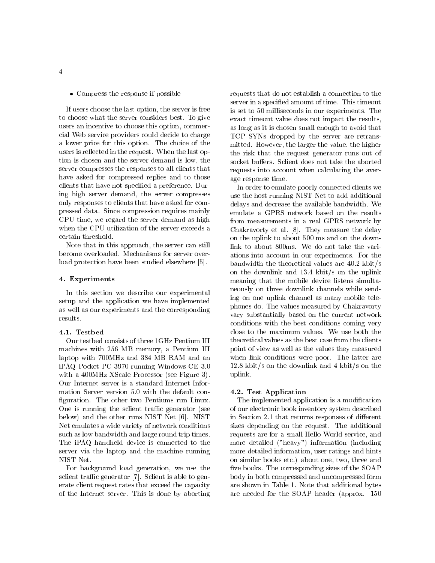• Compress the response if possible

If users choose the last option, the server is free to choose what the server considers best. To give users an incentive to choose this option, commercial Web service providers could decide to charge a lower price for this option. The choice of the users is reflected in the request. When the last option is chosen and the server demand is low, the server compresses the responses to all clients that have asked for compressed replies and to those clients that have not specified a preference. During high server demand, the server compresses only responses to clients that have asked for compressed data. Since compression requires mainly CPU time, we regard the server demand as high when the CPU utilization of the server exceeds a certain threshold.

Note that in this approach, the server can still become overloaded. Mechanisms for server overload protection have been studied elsewhere [5].

### 4. Experiments

In this section we describe our experimental setup and the application we have implemented as well as our experiments and the corresponding results.

## 4.1. Testbed

Our testbed consists of three 1GHz Pentium III machines with 256 MB memory, a Pentium III laptop with 700MHz and 384 MB RAM and an iPAQ Pocket PC 3970 running Windows CE 3.0 with a 400MHz XScale Processor (see Figure 3). Our Internet server is a standard Internet Information Server version 5.0 with the default configuration. The other two Pentiums run Linux. One is running the sclient traffic generator (see below) and the other runs NIST Net [6]. NIST Net emulates a wide variety of network conditions such as low bandwidth and large round trip times. The iPAQ handheld device is connected to the server via the laptop and the machine running NIST Net.

For background load generation, we use the sclient traffic generator [7]. Sclient is able to generate client request rates that exceed the capacity of the Internet server. This is done by aborting requests that do not establish a connection to the server in a specified amount of time. This timeout is set to 50 milliseconds in our experiments. The exact time out value does not impact the results, as long as it is chosen small enough to avoid that TCP SYNs dropped by the server are retransmitted. However, the larger the value, the higher the risk that the request generator runs out of socket buffers. Sclient does not take the aborted requests into account when calculating the average response time.

In order to emulate poorly connected clients we use the host running NIST Net to add additional delays and decrease the available bandwidth. We emulate a GPRS network based on the results from measurements in a real GPRS network by Chakravorty et al. [8]. They measure the delay on the uplink to about 500 ms and on the downlink to about 800ms. We do not take the variations into account in our experiments. For the bandwidth the theoretical values are  $40.2 \text{ kbit/s}$ on the downlink and 13.4 kbit/s on the uplink meaning that the mobile device listens simultaneously on three downlink channels while sending on one uplink channel as many mobile telephones do. The values measured by Chakravorty vary substantially based on the current network conditions with the best conditions coming very close to the maximum values. We use both the theoretical values as the best case from the clients point of view as well as the values they measured when link conditions were poor. The latter are 12.8 kbit/s on the downlink and 4 kbit/s on the uplink.

### 4.2. Test Application

The implemented application is a modification of our electronic book inventory system described in Section 2.1 that returns responses of different sizes depending on the request. The additional requests are for a small Hello World service, and more detailed ("heavy") information (including more detailed information, user ratings and hints on similar books etc.) about one, two, three and five books. The corresponding sizes of the SOAP body in both compressed and uncompressed form are shown in Table 1. Note that additional bytes are needed for the SOAP header (approx. 150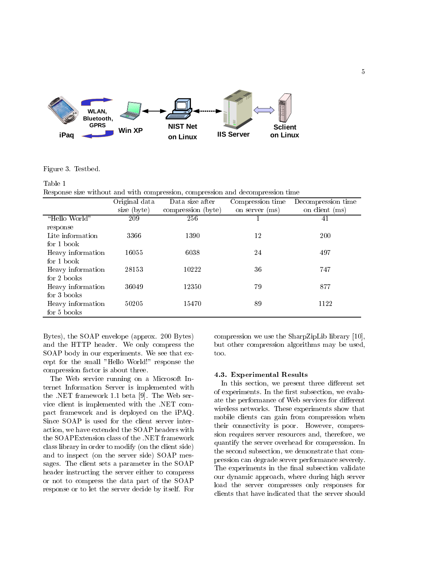

Figure 3. Testbed.

Table 1

Response size without and with compression, compression and decompression time

|                   | Original data | Data size after    | Compression time | Decompression time |  |
|-------------------|---------------|--------------------|------------------|--------------------|--|
|                   | size (byte)   | compression (byte) | on server (ms)   | on client (ms)     |  |
| "Hello World"     | 209           | 256                |                  | 41                 |  |
| response          |               |                    |                  |                    |  |
| Lite information  | 3366          | 1390               | 12               | 200                |  |
| for 1 book        |               |                    |                  |                    |  |
| Heavy information | 16055         | 6038               | 24               | 497                |  |
| for 1 book        |               |                    |                  |                    |  |
| Heavy information | 28153         | 10222              | 36               | 747                |  |
| for 2 books       |               |                    |                  |                    |  |
| Heavy information | 36049         | 12350              | 79               | 877                |  |
| for 3 books       |               |                    |                  |                    |  |
| Heavy information | 50205         | 15470              | 89               | 1122               |  |
| for 5 books       |               |                    |                  |                    |  |

Bytes), the SOAP envelope (approx. 200 Bytes) and the HTTP header. We only compress the SOAP body in our experiments. We see that except for the small "Hello World!" response the compression factor is about three.

The Web service running on a Microsoft Internet Information Server is implemented with the NET framework 1.1 beta [9]. The Web service client is implemented with the .NET compact framework and is deployed on the iPAQ. Since SOAP is used for the client server interaction, we have extended the SOAP headers with the SOAPExtension class of the .NET framework class library in order to modify (on the client side) and to inspect (on the server side) SOAP messages. The client sets a parameter in the SOAP header instructing the server either to compress or not to compress the data part of the SOAP response or to let the server decide by itself. For compression we use the SharpZipLib library [10], but other compression algorithms may be used.  $\text{to}$ .

## 4.3. Experimental Results

In this section, we present three different set of experiments. In the first subsection, we evaluate the performance of Web services for different wireless networks. These experiments show that mobile clients can gain from compression when their connectivity is poor. However, compression requires server resources and, therefore, we quantify the server overhead for compression. In the second subsection, we demonstrate that compression can degrade server performance severely. The experiments in the final subsection validate our dynamic approach, where during high server load the server compresses only responses for clients that have indicated that the server should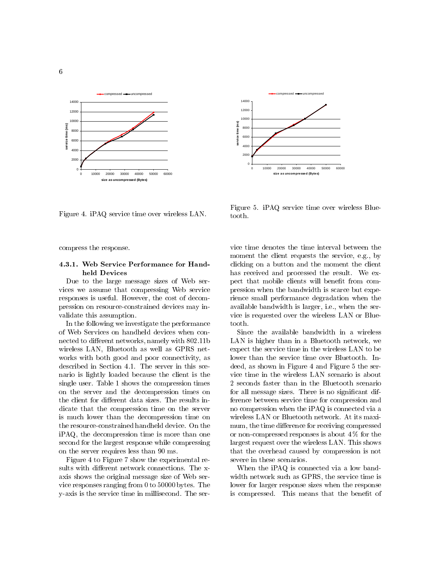



\$- 07@ ! ! 27-

compress the response.

## "

 #\$ held Devices

\* /) + ! , /) ! , 

- ! ( + pression on resource-constrained devices may invalidate this assumption.

 ! , of Web Services on handheld devices when con- ${\rm nect}$ ed to different  ${\rm networks},$   ${\rm name}$ iy with  ${\rm SU2.11D}$   $\qquad \qquad {\rm LA}$ wireless LAN, Bluetooth as well as GPRS networks with both good and poor connectivity, as nario is lightly loaded because the client is the state w 
- ) , on the server and the decompression times on (; ( - 
 + dicate that the compression time on the server is much lower than the decompression time on 
+ ( (( (!- ? iPAQ, the decompression time is more than one ( , , on the server requires less than 90 ms.

 $\mathbf{I}$  . The state is the state of  $\mathbf{I}$  . The state of  $\mathbf{I}$  (; - -+ - /) + vice responses ranging from 0 to 50000 bytes. The the y-axis is the service time in millisecond. The ser-

 %- 07@ ! ! "
+ tooth.

vice time denotes the time interval between the moment the client requests the service, e.g., by  $\sim$  (1)  $\sim$  (1)  $\sim$  (1)  $\sim$  (1)  $\sim$  (1)  $\sim$  (1)  $\sim$  (1)  $\sim$  (1)  $\sim$  (1)  $\sim$  (1)  $\sim$  !( ( , ( - / -+ pect that mobile clients will benefit from compression when the bandwidth is scarce but expe- , ( ( !) )(( -- + vice is requested over the wireless LAN or Bluetooth.

 $\mathbf{r}$  ,  $\mathbf{r}$  ,  $\mathbf{r}$  ,  $\mathbf{r}$  ,  $\mathbf{r}$  ,  $\mathbf{r}$  ,  $\mathbf{r}$  ,  $\mathbf{r}$  ,  $\mathbf{r}$  ,  $\mathbf{r}$  ,  $\mathbf{r}$  ,  $\mathbf{r}$  ,  $\mathbf{r}$  ,  $\mathbf{r}$  ,  $\mathbf{r}$  ,  $\mathbf{r}$  ,  $\mathbf{r}$  ,  $\mathbf{r}$  ,  $\mathbf{r}$  ,  $\mathbf{r}$  , Since the available bandwidth in a wireless 2111, 10 **magnet chair in a 21a**ctocoth hot state we expect the service time in the wireless LAN to be (( \$ ( % + vice time in the wireless LAN scenario is about 2 seconds faster than in the Bluetooth scenario - . (+ ference between service time for compression and no compression when the  $iPAQ$  is connected via a 27 "
 - 7 -+ (; ! ,( or non-compressed responses is about  $4\%$  for the that the overhead caused by compression is not severe in these scenarios.

When the iPAQ is connected via a low bandwidth network such as GPRS, the service time is , , ,(- ).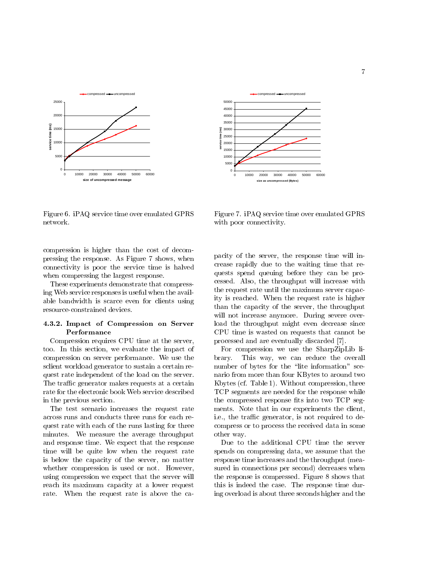



 $\mathbf{I}$  is a set of  $\mathbf{I}$  . The contribution of  $\mathbf{I}$  is the set of  $\mathbf{I}$  is a set of  $\mathbf{I}$  is a set of  $\mathbf{I}$  is a set of  $\mathbf{I}$  is a set of  $\mathbf{I}$  is a set of  $\mathbf{I}$  is a set of  $\mathbf{I}$  is a set of network.

 , ( +  $\mu$ ,  $\mu$ ,  $\mu$ ,  $\mu$ ,  $\mu$ ,  $\mu$ ,  $\mu$ ,  $\mu$ ,  $\mu$ ,  $\mu$ ,  $\mu$ ,  $\mu$ ,  $\mu$ ,  $\mu$ ,  $\mu$ ,  $\mu$ ,  $\mu$ ,  $\mu$ ,  $\mu$ ,  $\mu$ ,  $\mu$ ,  $\mu$ ,  $\mu$ ,  $\mu$ ,  $\mu$ ,  $\mu$ ,  $\mu$ ,  $\mu$ ,  $\mu$ ,  $\mu$ ,  $\mu$ ,  $\mu$ ,  $\mu$ ,  $\mu$ ,  $\mu$ ,  $\mu$ ,  $\mu$ , connectivity is poor the service time is halved , , -

These experiments demonstrate that compress- $\mathbf{1}$ ,  $\mathbf{1}$ ,  $\mathbf{1}$ ,  $\mathbf{1}$ ,  $\mathbf{1}$ ,  $\mathbf{1}$ ,  $\mathbf{1}$ ,  $\mathbf{1}$ ,  $\mathbf{1}$ ,  $\mathbf{1}$ ,  $\mathbf{1}$ ,  $\mathbf{1}$ ,  $\mathbf{1}$ ,  $\mathbf{1}$ ,  $\mathbf{1}$ ,  $\mathbf{1}$ ,  $\mathbf{1}$ ,  $\mathbf{1}$ ,  $\mathbf{1}$ ,  $\mathbf{1}$ ,  $\mathbf{1}$ ,  $\mathbf{1}$ , able bandwidth is scarce even for clients using resource-constrained devices.

## - And the second contract of the second contract of the second contract of the second contract of the second contract of the second contract of the second contract of the second contract of the second contract of the secon Performance

Compression requires CPU time at the server, - ! , , ! , - / ( 
 + quest rate independent of the load on the server.  $\mathcal{L}$  and  $\mathcal{L}$  is the second contract of  $\mathcal{L}$  and  $\mathcal{L}$  are  $\mathcal{L}$  . The second contract of  $\mathcal{L}$  and  $\mathcal{L}$  and  $\mathcal{L}$  are  $\mathcal{L}$  and  $\mathcal{L}$  and  $\mathcal{L}$  are  $\mathcal{L}$  and  $\mathcal{L}$  and  $\mathcal{L}$  rate for the electronic book Web service described in the previous section.

The test scenario increases the request rate across runs and conducts three runs for each re-6

 - / ! ,  $\alpha$  . The state of  $\alpha$  is the state of  $\alpha$  . The state of  $\alpha$  is the state of  $\alpha$ time will be quite low when the request rate is below the capacity of the server, no matter , where  $\mathcal{L} = \mathcal{L} \mathcal{L}$  is the contract of the contract of the contract of the contract of the contract of the contract of the contract of the contract of the contract of the contract of the contract of the contract , -, ! reach its maximum capacity at a lower request - / 6 ) ! +

 $\blacksquare$  . The  $\blacksquare$  . The set of  $\blacksquare$  is the set of  $\blacksquare$  . The set of  $\blacksquare$  is the set of  $\blacksquare$  is the set of  $\blacksquare$  is the set of  $\blacksquare$  is the set of  $\blacksquare$  is the set of  $\blacksquare$  is the set of  $\blacksquare$  is the set of with poor connectivity.

 $\,$  than the capacity of the server, the throughput pacity of the server, the response time will increase rapidly due to the waiting time that requests spena queuing before they can be pro-(- 7 , the request rate until the maximum server capacity is reacned. When the request rate is higher will not increase anymore. During severe over-, and the contract of  $\mathbf{A}$  , and the contract of  $\mathbf{A}$  , and the contract of  $\mathbf{A}$  , and the contract of  $\mathbf{A}$ CPU time is wasted on requests that cannot be processed and are eventually discarded [7].

For compression we use the SharpZipLib library. This way, we can reduce the overall number of bytes for the "lite information" scenario from more than four KBytes to around two Kbytes (ci. Table I). Without compression, three  $\mathbf{a}$  ,  $\mathbf{b}$  ,  $\mathbf{c}$  ,  $\mathbf{c}$  ,  $\mathbf{c}$  ,  $\mathbf{c}$  ,  $\mathbf{c}$  ,  $\mathbf{c}$  ,  $\mathbf{c}$  ,  $\mathbf{c}$  ,  $\mathbf{c}$  ,  $\mathbf{c}$  ,  $\mathbf{c}$  ,  $\mathbf{c}$  ,  $\mathbf{c}$  ,  $\mathbf{c}$  ,  $\mathbf{c}$  ,  $\mathbf{c}$  ,  $\mathbf{c}$  ,  $\mathbf{c}$  , the compressed response fits into two TCP seg--  
 -, -- Æ 6
( (+ compress or to process the received data in some other way.

Due to the additional CPU time the server ,( , ( 
 , ( ,
 3+ sured in connections per second) decreases when  $\ldots$  .  $\ldots$  ,  $\ldots$  ,  $\ldots$  ,  $\ldots$  ,  $\ldots$  ,  $\ldots$  ,  $\ldots$  ,  $\ldots$  ,  $\ldots$  (( - , (
+  $\ldots$  ,  $\ldots$  ,  $\ldots$  ,  $\ldots$  ,  $\ldots$  ,  $\ldots$  ,  $\ldots$  ,  $\ldots$  ,  $\ldots$  ,  $\ldots$  ,  $\ldots$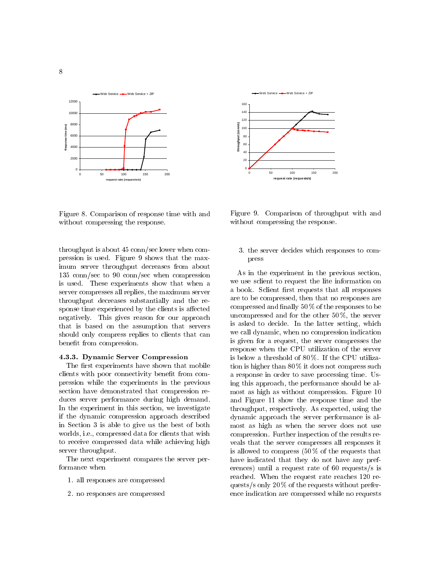



 $\mathcal{L}$  .  $\mathcal{L}$  ,  $\mathcal{L}$  ,  $\mathcal{L}$  ,  $\mathcal{L}$  ,  $\mathcal{L}$  ,  $\mathcal{L}$  ,  $\mathcal{L}$  ,  $\mathcal{L}$  ,  $\mathcal{L}$  ,  $\mathcal{L}$  ,  $\mathcal{L}$  ,  $\mathcal{L}$  ,  $\mathcal{L}$  ,  $\mathcal{L}$  ,  $\mathcal{L}$  ,  $\mathcal{L}$  ,  $\mathcal{L}$  ,  $\mathcal{L}$  ,  $\mathcal{L}$  , 
 , , -

 $\frac{1}{2}$  . The compact of  $\frac{1}{2}$  and  $\frac{1}{2}$  are controlled to  $\frac{1}{2}$  . The compact of  $\frac{1}{2}$ , (- # -+ ! , ( ) 135 conn/sec to 90 conn/sec when compression (- -, server compresses all replies, the maximum server throughput decreases substantially and the response time experienced by the clients is affected negatively. This gives reason for our approach in the that is based on the assumption that servers should only compress replies to clients that can benefit from compression.

#### %

The first experiments have shown that mobile clients with poor connectivity benefit from compression while the experiments in the previous section have demonstrated that compression re-( ! , ( ((- -, ! if the dynamic compression approach described  $\mathcal{L} \mathbf{1}$  ( -- ,( ( ! ,( ( !  $5 - 10$   $\leq 10$   $\leq 10$   $\leq 10$   $\leq 10$ 

The next experiment compares the server performance when

- , ,(
- $\blacksquare$ . The respectives of  $\blacksquare$  . The respectively.

 $, \, \, \ldots$  ,  $\, \, \ldots$  ,  $\, \, \ldots$  ,  $\, \, \ldots$  ,  $\, \, \ldots$  ,  $\, \, \ldots$  ,  $\, \, \, \ldots$  ,  $\, \, \, \ldots$ 

 $\mathbf{A}$ , and  $\mathbf{B}$  , and  $\mathbf{B}$  , and  $\mathbf{B}$  , and  $\mathbf{B}$  , and  $\mathbf{B}$ 

 $\sim$  . The set is a contrared with the point of the contrared of  $\sim$ press

 ! ! , , As in the experiment in the previous section, we use sclient to request the lite information on ) - . 6 , are to be compressed, then that no responses are compressed and finally  $50\%$  of the responses to be uncompressed and for the other  $50\%$ , the server  $\mathbf{A}$ we call dynamic, when no compression indication  $\mathcal{L}$  , and  $\mathcal{L}$  , and  $\mathcal{L}$  is the set of  $\mathcal{L}$  . The set of  $\mathcal{L}$  is the set of  $\mathcal{L}$  , and  $\mathcal{L}$ response when the CPU utilization of the server ) ( CD E- 80 
+ CD E ( ,  $\alpha$  respective in eract to save processing value. On  $\ldots$ ,  $\ldots$ ,  $\ldots$ ,  $\ldots$ ,  $\ldots$ ,  $\ldots$ ,  $\ldots$ ,  $\ldots$ ,  $\ldots$ ,  $\ldots$ ,  $\ldots$ ,  $\ldots$ ,  $\ldots$ ,  $\ldots$ ,  $\ldots$ ,  $\ldots$ ,  $\ldots$ ,  $\ldots$ ,  $\ldots$ ,  $\ldots$ ,  $\ldots$ ,  $\ldots$ ,  $\ldots$ ,  $\ldots$ ,  $\ldots$ ,  $\ldots$ ,  $\ldots$ ,  $\ldots$ ,  $\ldots$ ,  $\ldots$ ,  $\ldots$ ,  $\ldots$  $\ldots$ ,  $\ldots$ ,  $\ldots$ ,  $\ldots$ ,  $\ldots$ ,  $\ldots$ ,  $\ldots$ ,  $\ldots$ ,  $\ldots$ ,  $\ldots$ ,  $\ldots$ ,  $\ldots$ ,  $\ldots$ ,  $\ldots$ ,  $\ldots$ ,  $\ldots$ ,  $\ldots$ ,  $\ldots$ ,  $\ldots$ ,  $\ldots$ ,  $\ldots$ ,  $\ldots$ ,  $\ldots$ ,  $\ldots$ ,  $\ldots$ ,  $\ldots$ ,  $\ldots$ ,  $\ldots$ ,  $\ldots$ ,  $\ldots$ ,  $\ldots$ ,  $\ldots$ ( , ( tnrougnput, respectively. As expected, using the dynamic approach the server performance is al- ! ( , - , 
 + is allowed to compress  $(50\% \text{ of the requests that})$ have indicated that they do not have any preferences) until a request rate of 60 requests/s is (- / 6 <D + quests/s only 20  $\%$  of the requests without preference indication are compressed while no requests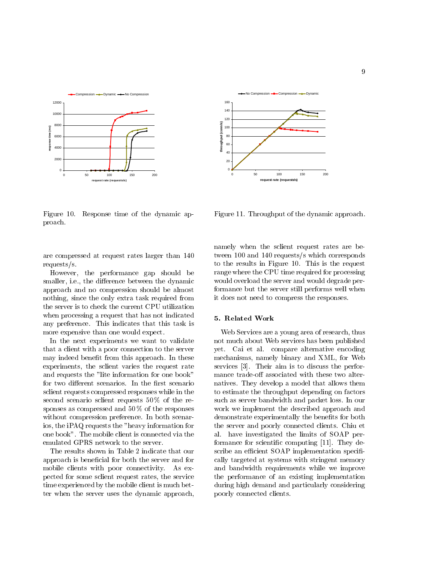



rigure IU. Response time of the dynamic approach.

 ,( 6 \$D requests/s.

 ! , , 
( ) smaller, i.e., the difference between the dynamic  $\qquad$  w approach and no compression should be almost notning, since the only extra task required from the does the server is to check the current CPU utilization , 6
 (( any preference. Inis indicates that this task is more expensive than one would expect.

In the next experiments we want to validate that a client with a poor connection to the server may indeed benent from this approach. In these  $\qquad$  n experiments, the sclient varies the request rate and requests the "lite information for one book" sclient requests compressed responses while in the second scenario sclient requests  $50\%$  of the responses as compressed and  $50\%$  of the responses 
 , ,- ) + ios, the iPAQ requests the "heavy information for ) A- ) ( ! emulated GPRS network to the server.

The results shown in Table 2 indicate that our approach is beneficial for both the server and for mobile clients with poor connectivity. As expected for some sclient request rates, the service time experienced by the mobile client is much better when the server uses the dynamic approach,

rigure 11. Inrougnput of the dynamic approach.

namely when the sclient request rates are between  $100$  and  $140$  requests/s which corresponds D- 6  $\mathbf{R}$  , and  $\mathbf{R}$  , and  $\mathbf{R}$  , and  $\mathbf{R}$  , and  $\mathbf{R}$  , and  $\mathbf{R}$  , and  $\mathbf{R}$  $\sim$  (  $\sim$  )  $\sim$  )  $\sim$  (  $\sim$  )  $\sim$  )  $\sim$  (  $\sim$  )  $\sim$  )  $\sim$  (  $\sim$  )  $\sim$  )  $\sim$  (  $\sim$  )  $\sim$  )  $\sim$  (  $\sim$  )  $\sim$  (  $\sim$  )  $\sim$  (  $\sim$  )  $\sim$  (  $\sim$  )  $\sim$  (  $\sim$  )  $\sim$  (  $\sim$  )  $\sim$  (  $\sim$   $\sim$   $\sim$   $\sim$   $\sim$  formance but the server still performs well when it does not need to compress the responses.

## 5. Related Work

web Services are a young area of research, thus not much about Web services has been published yet. Cai et al. compare alternative encoding mechanisms, namely binary and XML, for Web ! 9>:- ( , + mance trade-off associated with these two alternatives. They develop a model that allows them ,
 (,( ! )(( ( , work we implement the described approach and demonstrate experimentally the benefits for both the server and poorly connected clients. Uniu  $\rm{et}$ al. ! ! ( ?70 ,+ rormance for scientific computing [11]. They describe an efficient SOAP implementation specifically targeted at systems with stringent memory and bandwidth requirements while we improve , and the set of the set of the set of the set of the set of the set of the set of the set of the set of the set of the set of the set of the set of the set of the set of the set of the set of the set of the set of the se auring nign demand and particularly considering poorly connected clients.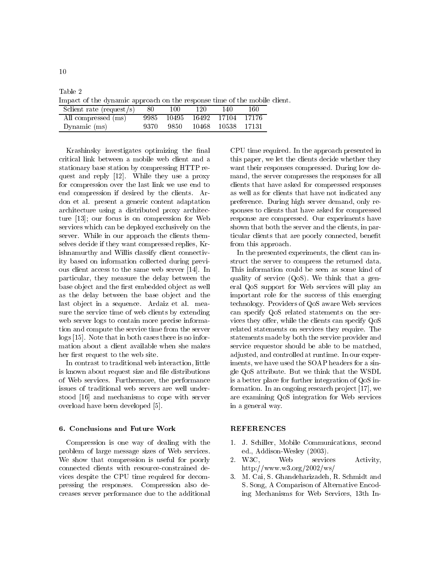| ŁП<br>ı |
|---------|
|---------|

Impact of the dynamic approach on the response time of the mobile client.

| Sclient rate (request/s) | -80  | 100                    | 120 | 140               | 160    |
|--------------------------|------|------------------------|-----|-------------------|--------|
| All compressed (ms)      |      | 9985 10495 16492 17104 |     |                   | -17176 |
| Dynamic $(ms)$           | 9370 | -9850-                 |     | 10468 10538 17131 |        |

Krashinsky investigates optimizing the final critical link between a mobile web client and a stationary base station by compressing HTTP request and reply [12]. While they use a proxy for compression over the last link we use end to end compression if desired by the clients. Ardon et al. present a generic content adaptation architecture using a distributed proxy architecture [13]; our focus is on compression for Web services which can be deployed exclusively on the server. While in our approach the clients themselves decide if they want compressed replies, Krishnamurthy and Willis classify client connectivity based on information collected during previous client access to the same web server [14]. In particular, they measure the delay between the base object and the first embedded object as well as the delay between the base object and the last object in a sequence. Ardaiz et al. measure the service time of web clients by extending web server logs to contain more precise information and compute the service time from the server logs [15]. Note that in both cases there is no information about a client available when she makes her first request to the web site.

In contrast to traditional web interaction, little is known about request size and file distributions of Web services. Furthermore, the performance issues of traditional web servers are well understood [16] and mechanisms to cope with server overload have been developed [5].

## 6. Conclusions and Future Work

Compression is one way of dealing with the problem of large message sizes of Web services. We show that compression is useful for poorly connected clients with resource-constrained devices despite the CPU time required for decompressing the responses. Compression also decreases server performance due to the additional

CPU time required. In the approach presented in this paper, we let the clients decide whether they want their responses compressed. During low demand, the server compresses the responses for all clients that have asked for compressed responses as well as for clients that have not indicated any preference. During high server demand, only responses to clients that have asked for compressed response are compressed. Our experiments have shown that both the server and the clients, in particular clients that are poorly connected, benefit from this approach.

In the presented experiments, the client can instruct the server to compress the returned data. This information could be seen as some kind of quality of service  $(QoS)$ . We think that a general QoS support for Web services will play an important role for the success of this emerging technology. Providers of QoS aware Web services can specify QoS related statements on the services they offer, while the clients can specify QoS related statements on services they require. The statements made by both the service provider and service requestor should be able to be matched, adjusted, and controlled at runtime. In our experiments, we have used the SOAP headers for a single QoS attribute. But we think that the WSDL is a better place for further integration of QoS information. In an ongoing research project [17], we are examining QoS integration for Web services in a general way.

## **REFERENCES**

- 1. J. Schiller, Mobile Communications, second ed., Addison-Wesley (2003).
- 2. W3C. Web services Activity, http://www.w3.org/2002/ws/
- 3. M. Cai, S. Ghandeharizadeh, R. Schmidt and S. Song, A Comparison of Alternative Encoding Mechanisms for Web Services, 13th In-